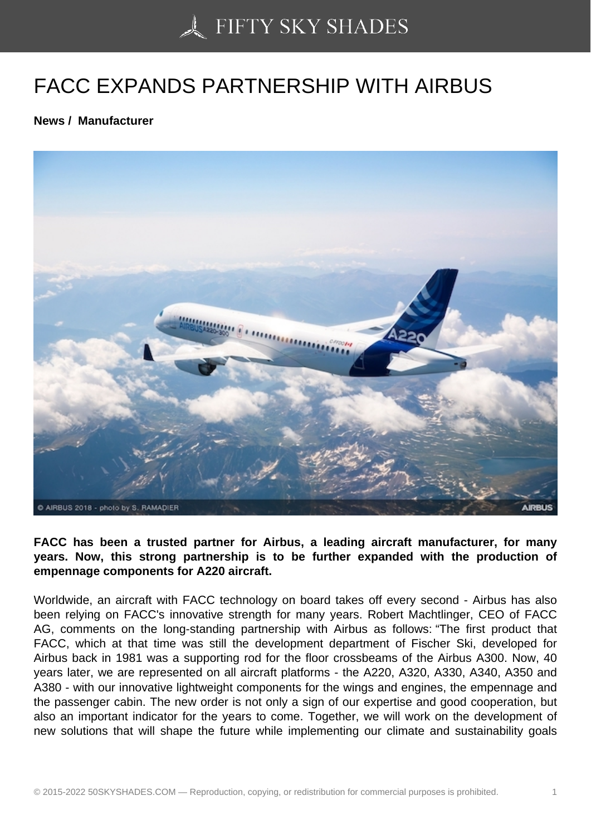# [FACC EXPANDS PAR](https://50skyshades.com)TNERSHIP WITH AIRBUS

News / Manufacturer

FACC has been a trusted partner for Airbus, a leading aircraft manufacturer, for many years. Now, this strong partnership is to be further expanded with the production of empennage components for A220 aircraft.

Worldwide, an aircraft with FACC technology on board takes off every second - Airbus has also been relying on FACC's innovative strength for many years. Robert Machtlinger, CEO of FACC AG, comments on the long-standing partnership with Airbus as follows: "The first product that FACC, which at that time was still the development department of Fischer Ski, developed for Airbus back in 1981 was a supporting rod for the floor crossbeams of the Airbus A300. Now, 40 years later, we are represented on all aircraft platforms - the A220, A320, A330, A340, A350 and A380 - with our innovative lightweight components for the wings and engines, the empennage and the passenger cabin. The new order is not only a sign of our expertise and good cooperation, but also an important indicator for the years to come. Together, we will work on the development of new solutions that will shape the future while implementing our climate and sustainability goals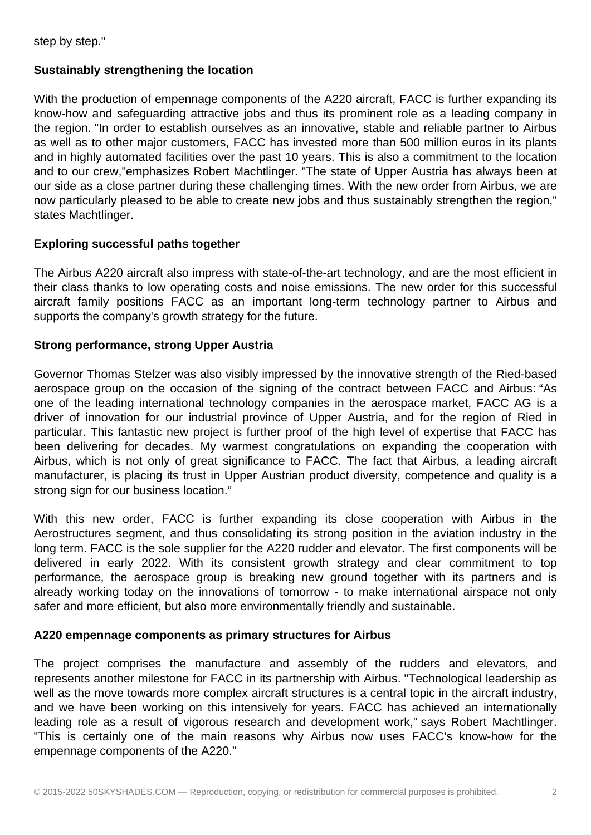step by step."

## **Sustainably strengthening the location**

With the production of empennage components of the A220 aircraft, FACC is further expanding its know-how and safeguarding attractive jobs and thus its prominent role as a leading company in the region. "In order to establish ourselves as an innovative, stable and reliable partner to Airbus as well as to other major customers, FACC has invested more than 500 million euros in its plants and in highly automated facilities over the past 10 years. This is also a commitment to the location and to our crew,"emphasizes Robert Machtlinger. "The state of Upper Austria has always been at our side as a close partner during these challenging times. With the new order from Airbus, we are now particularly pleased to be able to create new jobs and thus sustainably strengthen the region," states Machtlinger.

### **Exploring successful paths together**

The Airbus A220 aircraft also impress with state-of-the-art technology, and are the most efficient in their class thanks to low operating costs and noise emissions. The new order for this successful aircraft family positions FACC as an important long-term technology partner to Airbus and supports the company's growth strategy for the future.

### **Strong performance, strong Upper Austria**

Governor Thomas Stelzer was also visibly impressed by the innovative strength of the Ried-based aerospace group on the occasion of the signing of the contract between FACC and Airbus: "As one of the leading international technology companies in the aerospace market, FACC AG is a driver of innovation for our industrial province of Upper Austria, and for the region of Ried in particular. This fantastic new project is further proof of the high level of expertise that FACC has been delivering for decades. My warmest congratulations on expanding the cooperation with Airbus, which is not only of great significance to FACC. The fact that Airbus, a leading aircraft manufacturer, is placing its trust in Upper Austrian product diversity, competence and quality is a strong sign for our business location."

With this new order, FACC is further expanding its close cooperation with Airbus in the Aerostructures segment, and thus consolidating its strong position in the aviation industry in the long term. FACC is the sole supplier for the A220 rudder and elevator. The first components will be delivered in early 2022. With its consistent growth strategy and clear commitment to top performance, the aerospace group is breaking new ground together with its partners and is already working today on the innovations of tomorrow - to make international airspace not only safer and more efficient, but also more environmentally friendly and sustainable.

#### **A220 empennage components as primary structures for Airbus**

The project comprises the manufacture and assembly of the rudders and elevators, and represents another milestone for FACC in its partnership with Airbus. "Technological leadership as well as the move towards more complex aircraft structures is a central topic in the aircraft industry, and we have been working on this intensively for years. FACC has achieved an internationally leading role as a result of vigorous research and development work," says Robert Machtlinger. "This is certainly one of the main reasons why Airbus now uses FACC's know-how for the empennage components of the A220."